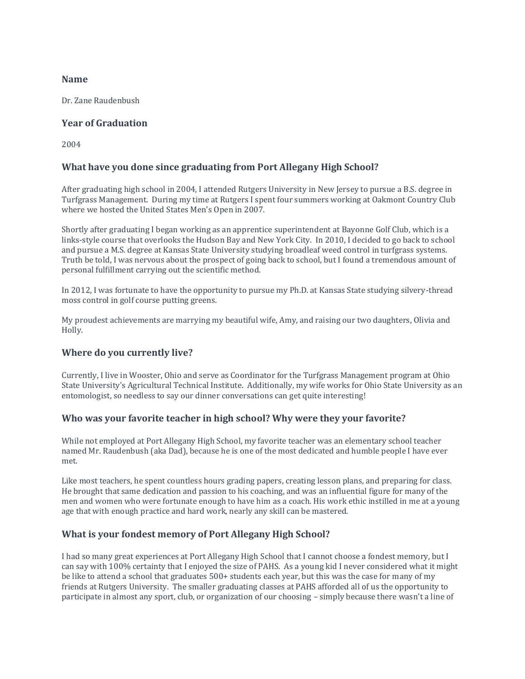#### **Name**

Dr. Zane Raudenbush

#### **Year of Graduation**

2004

# **What have you done since graduating from Port Allegany High School?**

After graduating high school in 2004, I attended Rutgers University in New Jersey to pursue a B.S. degree in Turfgrass Management. During my time at Rutgers I spent four summers working at Oakmont Country Club where we hosted the United States Men's Open in 2007.

Shortly after graduating I began working as an apprentice superintendent at Bayonne Golf Club, which is a links-style course that overlooks the Hudson Bay and New York City. In 2010, I decided to go back to school and pursue a M.S. degree at Kansas State University studying broadleaf weed control in turfgrass systems. Truth be told, I was nervous about the prospect of going back to school, but I found a tremendous amount of personal fulfillment carrying out the scientific method.

In 2012, I was fortunate to have the opportunity to pursue my Ph.D. at Kansas State studying silvery-thread moss control in golf course putting greens.

My proudest achievements are marrying my beautiful wife, Amy, and raising our two daughters, Olivia and Holly.

## **Where do you currently live?**

Currently, I live in Wooster, Ohio and serve as Coordinator for the Turfgrass Management program at Ohio State University's Agricultural Technical Institute. Additionally, my wife works for Ohio State University as an entomologist, so needless to say our dinner conversations can get quite interesting!

#### **Who was your favorite teacher in high school? Why were they your favorite?**

While not employed at Port Allegany High School, my favorite teacher was an elementary school teacher named Mr. Raudenbush (aka Dad), because he is one of the most dedicated and humble people I have ever met.

Like most teachers, he spent countless hours grading papers, creating lesson plans, and preparing for class. He brought that same dedication and passion to his coaching, and was an influential figure for many of the men and women who were fortunate enough to have him as a coach. His work ethic instilled in me at a young age that with enough practice and hard work, nearly any skill can be mastered.

## **What is your fondest memory of Port Allegany High School?**

I had so many great experiences at Port Allegany High School that I cannot choose a fondest memory, but I can say with 100% certainty that I enjoyed the size of PAHS. As a young kid I never considered what it might be like to attend a school that graduates 500+ students each year, but this was the case for many of my friends at Rutgers University. The smaller graduating classes at PAHS afforded all of us the opportunity to participate in almost any sport, club, or organization of our choosing – simply because there wasn't a line of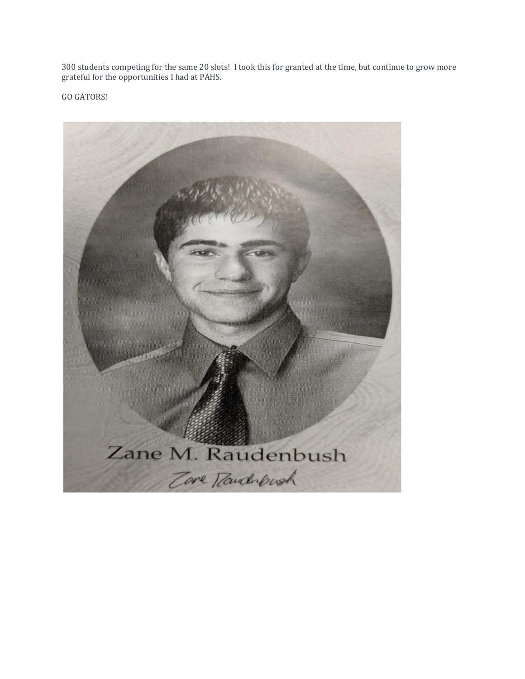300 students competing for the same 20 slots! I took this for granted at the time, but continue to grow more grateful for the opportunities I had at PAHS.

GO GATORS!